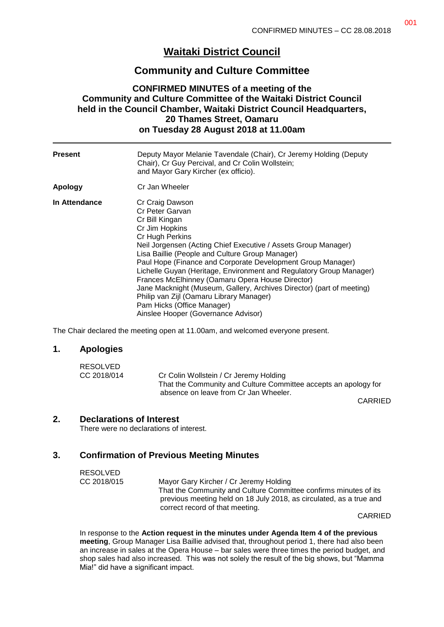# **Waitaki District Council**

# **Community and Culture Committee**

## **CONFIRMED MINUTES of a meeting of the Community and Culture Committee of the Waitaki District Council held in the Council Chamber, Waitaki District Council Headquarters, 20 Thames Street, Oamaru on Tuesday 28 August 2018 at 11.00am**

| <b>Present</b> | Deputy Mayor Melanie Tavendale (Chair), Cr Jeremy Holding (Deputy<br>Chair), Cr Guy Percival, and Cr Colin Wollstein;<br>and Mayor Gary Kircher (ex officio).                                                                                                                                                                                                                                                                                                                                                                                                                                      |
|----------------|----------------------------------------------------------------------------------------------------------------------------------------------------------------------------------------------------------------------------------------------------------------------------------------------------------------------------------------------------------------------------------------------------------------------------------------------------------------------------------------------------------------------------------------------------------------------------------------------------|
| <b>Apology</b> | Cr Jan Wheeler                                                                                                                                                                                                                                                                                                                                                                                                                                                                                                                                                                                     |
| In Attendance  | Cr Craig Dawson<br>Cr Peter Garvan<br>Cr Bill Kingan<br>Cr Jim Hopkins<br>Cr Hugh Perkins<br>Neil Jorgensen (Acting Chief Executive / Assets Group Manager)<br>Lisa Baillie (People and Culture Group Manager)<br>Paul Hope (Finance and Corporate Development Group Manager)<br>Lichelle Guyan (Heritage, Environment and Regulatory Group Manager)<br>Frances McElhinney (Oamaru Opera House Director)<br>Jane Macknight (Museum, Gallery, Archives Director) (part of meeting)<br>Philip van Zijl (Oamaru Library Manager)<br>Pam Hicks (Office Manager)<br>Ainslee Hooper (Governance Advisor) |

The Chair declared the meeting open at 11.00am, and welcomed everyone present.

#### **1. Apologies**

| RESOLVED    |                                                                 |
|-------------|-----------------------------------------------------------------|
| CC 2018/014 | Cr Colin Wollstein / Cr Jeremy Holding                          |
|             | That the Community and Culture Committee accepts an apology for |
|             | absence on leave from Cr Jan Wheeler.                           |

CARRIED

#### **2. Declarations of Interest**

There were no declarations of interest.

## **3. Confirmation of Previous Meeting Minutes**

| <b>RESOLVED</b> |                                                                                                                                         |
|-----------------|-----------------------------------------------------------------------------------------------------------------------------------------|
| CC 2018/015     | Mayor Gary Kircher / Cr Jeremy Holding                                                                                                  |
|                 | That the Community and Culture Committee confirms minutes of its<br>previous meeting held on 18 July 2018, as circulated, as a true and |
|                 | correct record of that meeting.                                                                                                         |
|                 |                                                                                                                                         |

CARRIED

In response to the **Action request in the minutes under Agenda Item 4 of the previous meeting**, Group Manager Lisa Baillie advised that, throughout period 1, there had also been an increase in sales at the Opera House – bar sales were three times the period budget, and shop sales had also increased. This was not solely the result of the big shows, but "Mamma Mia!" did have a significant impact.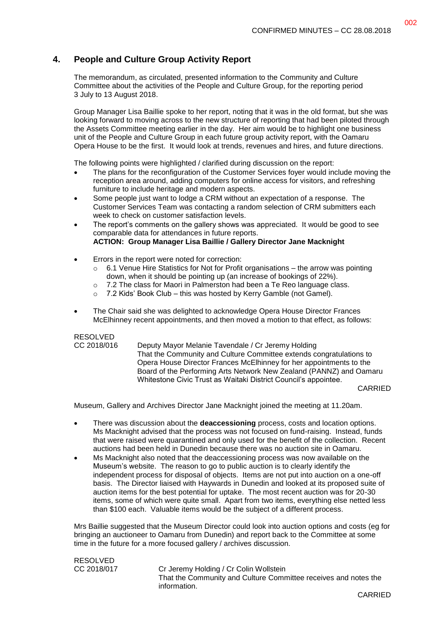# **4. People and Culture Group Activity Report**

The memorandum, as circulated, presented information to the Community and Culture Committee about the activities of the People and Culture Group, for the reporting period 3 July to 13 August 2018.

Group Manager Lisa Baillie spoke to her report, noting that it was in the old format, but she was looking forward to moving across to the new structure of reporting that had been piloted through the Assets Committee meeting earlier in the day. Her aim would be to highlight one business unit of the People and Culture Group in each future group activity report, with the Oamaru Opera House to be the first. It would look at trends, revenues and hires, and future directions.

The following points were highlighted / clarified during discussion on the report:

- The plans for the reconfiguration of the Customer Services foyer would include moving the reception area around, adding computers for online access for visitors, and refreshing furniture to include heritage and modern aspects.
- Some people just want to lodge a CRM without an expectation of a response. The Customer Services Team was contacting a random selection of CRM submitters each week to check on customer satisfaction levels.
- The report's comments on the gallery shows was appreciated. It would be good to see comparable data for attendances in future reports. **ACTION: Group Manager Lisa Baillie / Gallery Director Jane Macknight**
- Errors in the report were noted for correction:
	- o 6.1 Venue Hire Statistics for Not for Profit organisations the arrow was pointing down, when it should be pointing up (an increase of bookings of 22%).
	- o 7.2 The class for Maori in Palmerston had been a Te Reo language class.
	- o 7.2 Kids' Book Club this was hosted by Kerry Gamble (not Gamel).
- The Chair said she was delighted to acknowledge Opera House Director Frances McElhinney recent appointments, and then moved a motion to that effect, as follows:

#### RESOLVED

CC 2018/016 Deputy Mayor Melanie Tavendale / Cr Jeremy Holding That the Community and Culture Committee extends congratulations to Opera House Director Frances McElhinney for her appointments to the Board of the Performing Arts Network New Zealand (PANNZ) and Oamaru Whitestone Civic Trust as Waitaki District Council's appointee.

CARRIED

Museum, Gallery and Archives Director Jane Macknight joined the meeting at 11.20am.

- There was discussion about the **deaccessioning** process, costs and location options. Ms Macknight advised that the process was not focused on fund-raising. Instead, funds that were raised were quarantined and only used for the benefit of the collection. Recent auctions had been held in Dunedin because there was no auction site in Oamaru.
- Ms Macknight also noted that the deaccessioning process was now available on the Museum's website. The reason to go to public auction is to clearly identify the independent process for disposal of objects. Items are not put into auction on a one-off basis. The Director liaised with Haywards in Dunedin and looked at its proposed suite of auction items for the best potential for uptake. The most recent auction was for 20-30 items, some of which were quite small. Apart from two items, everything else netted less than \$100 each. Valuable items would be the subject of a different process.

Mrs Baillie suggested that the Museum Director could look into auction options and costs (eg for bringing an auctioneer to Oamaru from Dunedin) and report back to the Committee at some time in the future for a more focused gallery / archives discussion.

RESOLVED<br>CC 2018/017

Cr Jeremy Holding / Cr Colin Wollstein That the Community and Culture Committee receives and notes the information.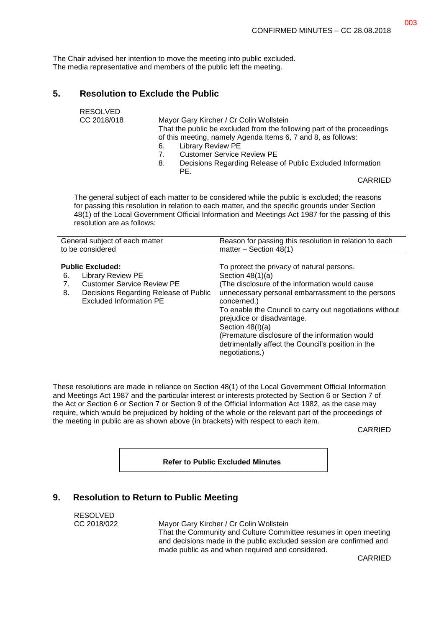The Chair advised her intention to move the meeting into public excluded. The media representative and members of the public left the meeting.

## **5. Resolution to Exclude the Public**

| <b>RESOLVED</b> |                                                                        |
|-----------------|------------------------------------------------------------------------|
| CC 2018/018     | Mayor Gary Kircher / Cr Colin Wollstein                                |
|                 | That the public be excluded from the following part of the proceedings |
|                 | of this meeting, namely Agenda Items 6, 7 and 8, as follows:           |
|                 | Library Review PE<br>6.                                                |
|                 | <b>Customer Service Review PE</b><br>7                                 |
|                 | Decisions Desarding Delegas of Dublic Evoluded Information             |

8. Decisions Regarding Release of Public Excluded Information PE.

CARRIED

The general subject of each matter to be considered while the public is excluded; the reasons for passing this resolution in relation to each matter, and the specific grounds under Section 48(1) of the Local Government Official Information and Meetings Act 1987 for the passing of this resolution are as follows:

| General subject of each matter                                                                                                                                                  | Reason for passing this resolution in relation to each                                                                                                                                                                                                                                                                                                                                                                          |
|---------------------------------------------------------------------------------------------------------------------------------------------------------------------------------|---------------------------------------------------------------------------------------------------------------------------------------------------------------------------------------------------------------------------------------------------------------------------------------------------------------------------------------------------------------------------------------------------------------------------------|
| to be considered                                                                                                                                                                | matter $-$ Section 48(1)                                                                                                                                                                                                                                                                                                                                                                                                        |
| <b>Public Excluded:</b><br><b>Library Review PE</b><br>6.<br><b>Customer Service Review PE</b><br>Decisions Regarding Release of Public<br>8.<br><b>Excluded Information PE</b> | To protect the privacy of natural persons.<br>Section $48(1)(a)$<br>(The disclosure of the information would cause<br>unnecessary personal embarrassment to the persons<br>concerned.)<br>To enable the Council to carry out negotiations without<br>prejudice or disadvantage.<br>Section $48(l)(a)$<br>(Premature disclosure of the information would<br>detrimentally affect the Council's position in the<br>negotiations.) |

These resolutions are made in reliance on Section 48(1) of the Local Government Official Information and Meetings Act 1987 and the particular interest or interests protected by Section 6 or Section 7 of the Act or Section 6 or Section 7 or Section 9 of the Official Information Act 1982, as the case may require, which would be prejudiced by holding of the whole or the relevant part of the proceedings of the meeting in public are as shown above (in brackets) with respect to each item.

CARRIED

**Refer to Public Excluded Minutes**

#### **9. Resolution to Return to Public Meeting**

RESOLVED

CC 2018/022 Mayor Gary Kircher / Cr Colin Wollstein That the Community and Culture Committee resumes in open meeting and decisions made in the public excluded session are confirmed and made public as and when required and considered.

CARRIED